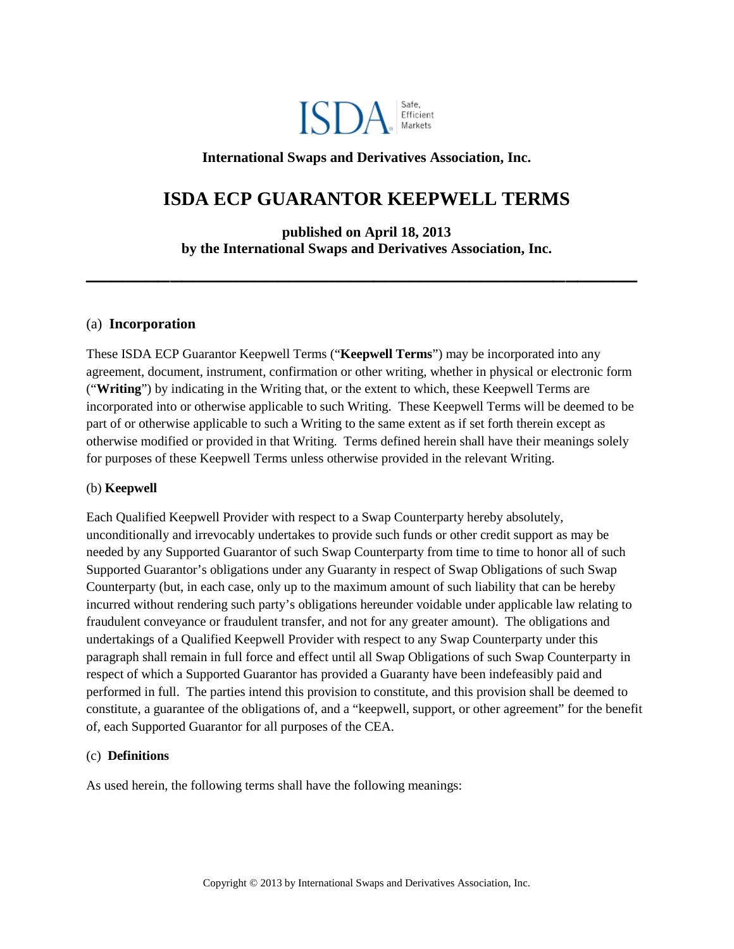

## **International Swaps and Derivatives Association, Inc.**

# **ISDA ECP GUARANTOR KEEPWELL TERMS**

**published on April 18, 2013 by the International Swaps and Derivatives Association, Inc.**

**\_\_\_\_\_\_\_\_\_\_\_\_\_\_\_\_\_\_\_\_\_\_\_\_\_\_\_\_\_\_\_\_\_\_\_\_\_\_\_\_\_\_\_\_\_\_**

### (a) **Incorporation**

These ISDA ECP Guarantor Keepwell Terms ("**Keepwell Terms**") may be incorporated into any agreement, document, instrument, confirmation or other writing, whether in physical or electronic form ("**Writing**") by indicating in the Writing that, or the extent to which, these Keepwell Terms are incorporated into or otherwise applicable to such Writing. These Keepwell Terms will be deemed to be part of or otherwise applicable to such a Writing to the same extent as if set forth therein except as otherwise modified or provided in that Writing. Terms defined herein shall have their meanings solely for purposes of these Keepwell Terms unless otherwise provided in the relevant Writing.

### (b) **Keepwell**

Each Qualified Keepwell Provider with respect to a Swap Counterparty hereby absolutely, unconditionally and irrevocably undertakes to provide such funds or other credit support as may be needed by any Supported Guarantor of such Swap Counterparty from time to time to honor all of such Supported Guarantor's obligations under any Guaranty in respect of Swap Obligations of such Swap Counterparty (but, in each case, only up to the maximum amount of such liability that can be hereby incurred without rendering such party's obligations hereunder voidable under applicable law relating to fraudulent conveyance or fraudulent transfer, and not for any greater amount). The obligations and undertakings of a Qualified Keepwell Provider with respect to any Swap Counterparty under this paragraph shall remain in full force and effect until all Swap Obligations of such Swap Counterparty in respect of which a Supported Guarantor has provided a Guaranty have been indefeasibly paid and performed in full. The parties intend this provision to constitute, and this provision shall be deemed to constitute, a guarantee of the obligations of, and a "keepwell, support, or other agreement" for the benefit of, each Supported Guarantor for all purposes of the CEA.

### (c) **Definitions**

As used herein, the following terms shall have the following meanings: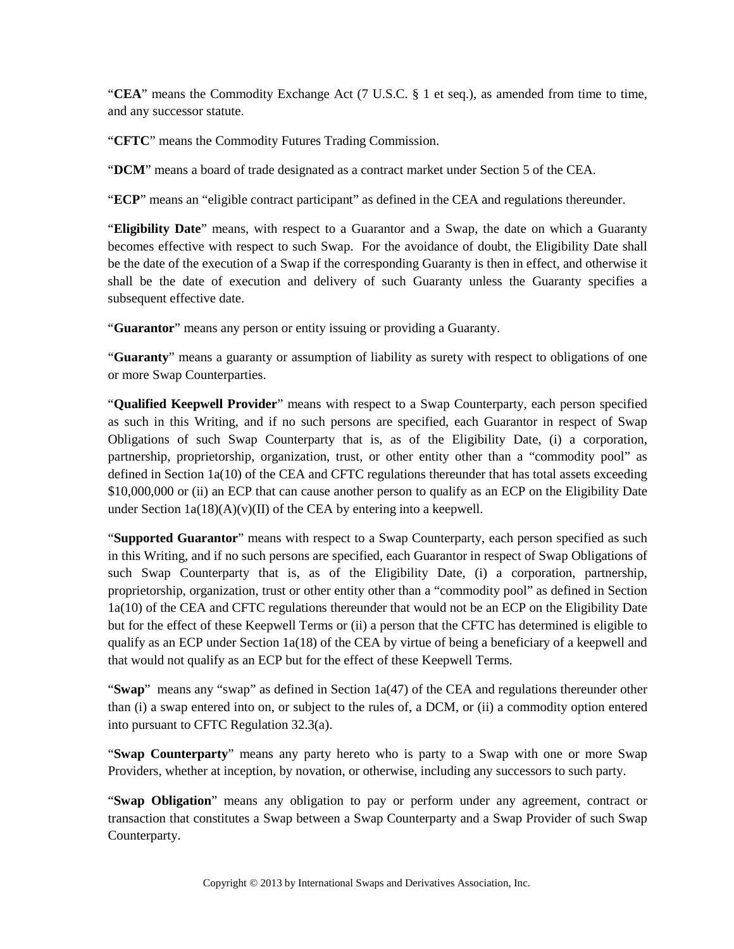"**CEA**" means the Commodity Exchange Act (7 U.S.C. § 1 et seq.), as amended from time to time, and any successor statute.

"**CFTC**" means the Commodity Futures Trading Commission.

"**DCM**" means a board of trade designated as a contract market under Section 5 of the CEA.

"**ECP**" means an "eligible contract participant" as defined in the CEA and regulations thereunder.

"**Eligibility Date**" means, with respect to a Guarantor and a Swap, the date on which a Guaranty becomes effective with respect to such Swap. For the avoidance of doubt, the Eligibility Date shall be the date of the execution of a Swap if the corresponding Guaranty is then in effect, and otherwise it shall be the date of execution and delivery of such Guaranty unless the Guaranty specifies a subsequent effective date.

"**Guarantor**" means any person or entity issuing or providing a Guaranty.

"**Guaranty**" means a guaranty or assumption of liability as surety with respect to obligations of one or more Swap Counterparties.

"**Qualified Keepwell Provider**" means with respect to a Swap Counterparty, each person specified as such in this Writing, and if no such persons are specified, each Guarantor in respect of Swap Obligations of such Swap Counterparty that is, as of the Eligibility Date, (i) a corporation, partnership, proprietorship, organization, trust, or other entity other than a "commodity pool" as defined in Section 1a(10) of the CEA and CFTC regulations thereunder that has total assets exceeding \$10,000,000 or (ii) an ECP that can cause another person to qualify as an ECP on the Eligibility Date under Section  $1a(18)(A)(v)(II)$  of the CEA by entering into a keepwell.

"**Supported Guarantor**" means with respect to a Swap Counterparty, each person specified as such in this Writing, and if no such persons are specified, each Guarantor in respect of Swap Obligations of such Swap Counterparty that is, as of the Eligibility Date, (i) a corporation, partnership, proprietorship, organization, trust or other entity other than a "commodity pool" as defined in Section 1a(10) of the CEA and CFTC regulations thereunder that would not be an ECP on the Eligibility Date but for the effect of these Keepwell Terms or (ii) a person that the CFTC has determined is eligible to qualify as an ECP under Section  $1a(18)$  of the CEA by virtue of being a beneficiary of a keepwell and that would not qualify as an ECP but for the effect of these Keepwell Terms.

"**Swap**" means any "swap" as defined in Section 1a(47) of the CEA and regulations thereunder other than (i) a swap entered into on, or subject to the rules of, a DCM, or (ii) a commodity option entered into pursuant to CFTC Regulation 32.3(a).

"**Swap Counterparty**" means any party hereto who is party to a Swap with one or more Swap Providers, whether at inception, by novation, or otherwise, including any successors to such party.

"**Swap Obligation**" means any obligation to pay or perform under any agreement, contract or transaction that constitutes a Swap between a Swap Counterparty and a Swap Provider of such Swap Counterparty.